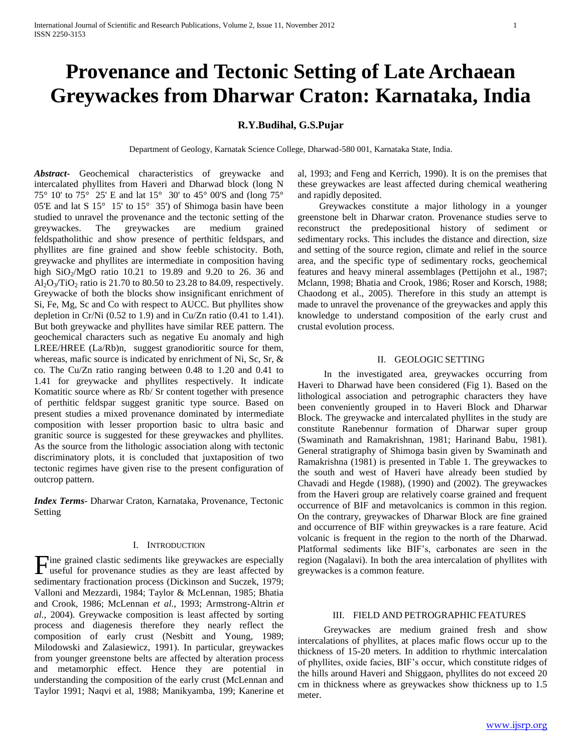# **Provenance and Tectonic Setting of Late Archaean Greywackes from Dharwar Craton: Karnataka, India**

# **R.Y.Budihal, G.S.Pujar**

Department of Geology, Karnatak Science College, Dharwad-580 001, Karnataka State, India.

*Abstract***-** Geochemical characteristics of greywacke and intercalated phyllites from Haveri and Dharwad block (long N 75° 10' to 75° 25' E and lat 15° 30' to 45° 00'S and (long 75° 05'E and lat S 15° 15' to 15° 35') of Shimoga basin have been studied to unravel the provenance and the tectonic setting of the greywackes. The greywackes are medium grained feldspatholithic and show presence of perthitic feldspars, and phyllites are fine grained and show feeble schistocity. Both, greywacke and phyllites are intermediate in composition having high  $SiO<sub>2</sub>/MgO$  ratio 10.21 to 19.89 and 9.20 to 26. 36 and  $Al_2O_3/TiO_2$  ratio is 21.70 to 80.50 to 23.28 to 84.09, respectively. Greywacke of both the blocks show insignificant enrichment of Si, Fe, Mg, Sc and Co with respect to AUCC. But phyllites show depletion in Cr/Ni (0.52 to 1.9) and in Cu/Zn ratio (0.41 to 1.41). But both greywacke and phyllites have similar REE pattern. The geochemical characters such as negative Eu anomaly and high LREE/HREE (La/Rb)n, suggest granodioritic source for them, whereas, mafic source is indicated by enrichment of Ni, Sc, Sr, & co. The Cu/Zn ratio ranging between 0.48 to 1.20 and 0.41 to 1.41 for greywacke and phyllites respectively. It indicate Komatitic source where as Rb/ Sr content together with presence of perthitic feldspar suggest granitic type source. Based on present studies a mixed provenance dominated by intermediate composition with lesser proportion basic to ultra basic and granitic source is suggested for these greywackes and phyllites. As the source from the lithologic association along with tectonic discriminatory plots, it is concluded that juxtaposition of two tectonic regimes have given rise to the present configuration of outcrop pattern.

*Index Terms*- Dharwar Craton, Karnataka, Provenance, Tectonic Setting

#### I. INTRODUCTION

ine grained clastic sediments like greywackes are especially Tine grained clastic sediments like greywackes are especially useful for provenance studies as they are least affected by sedimentary fractionation process (Dickinson and Suczek, 1979; Valloni and Mezzardi, 1984; Taylor & McLennan, 1985; Bhatia and Crook, 1986; McLennan *et al.*, 1993; Armstrong-Altrin *et al.*, 2004). Greywacke composition is least affected by sorting process and diagenesis therefore they nearly reflect the composition of early crust (Nesbitt and Young, 1989; Milodowski and Zalasiewicz, 1991). In particular, greywackes from younger greenstone belts are affected by alteration process and metamorphic effect. Hence they are potential in understanding the composition of the early crust (McLennan and Taylor 1991; Naqvi et al, 1988; Manikyamba, 199; Kanerine et

al, 1993; and Feng and Kerrich, 1990). It is on the premises that these greywackes are least affected during chemical weathering and rapidly deposited.

 Greywackes constitute a major lithology in a younger greenstone belt in Dharwar craton. Provenance studies serve to reconstruct the predepositional history of sediment or sedimentary rocks. This includes the distance and direction, size and setting of the source region, climate and relief in the source area, and the specific type of sedimentary rocks, geochemical features and heavy mineral assemblages (Pettijohn et al., 1987; Mclann, 1998; Bhatia and Crook, 1986; Roser and Korsch, 1988; Chaodong et al., 2005). Therefore in this study an attempt is made to unravel the provenance of the greywackes and apply this knowledge to understand composition of the early crust and crustal evolution process.

### II. GEOLOGIC SETTING

 In the investigated area, greywackes occurring from Haveri to Dharwad have been considered (Fig 1). Based on the lithological association and petrographic characters they have been conveniently grouped in to Haveri Block and Dharwar Block. The greywacke and intercalated phyllites in the study are constitute Ranebennur formation of Dharwar super group (Swaminath and Ramakrishnan, 1981; Harinand Babu, 1981). General stratigraphy of Shimoga basin given by Swaminath and Ramakrishna (1981) is presented in Table 1. The greywackes to the south and west of Haveri have already been studied by Chavadi and Hegde (1988), (1990) and (2002). The greywackes from the Haveri group are relatively coarse grained and frequent occurrence of BIF and metavolcanics is common in this region. On the contrary, greywackes of Dharwar Block are fine grained and occurrence of BIF within greywackes is a rare feature. Acid volcanic is frequent in the region to the north of the Dharwad. Platformal sediments like BIF's, carbonates are seen in the region (Nagalavi). In both the area intercalation of phyllites with greywackes is a common feature.

#### III. FIELD AND PETROGRAPHIC FEATURES

 Greywackes are medium grained fresh and show intercalations of phyllites, at places mafic flows occur up to the thickness of 15-20 meters. In addition to rhythmic intercalation of phyllites, oxide facies, BIF's occur, which constitute ridges of the hills around Haveri and Shiggaon, phyllites do not exceed 20 cm in thickness where as greywackes show thickness up to 1.5 meter.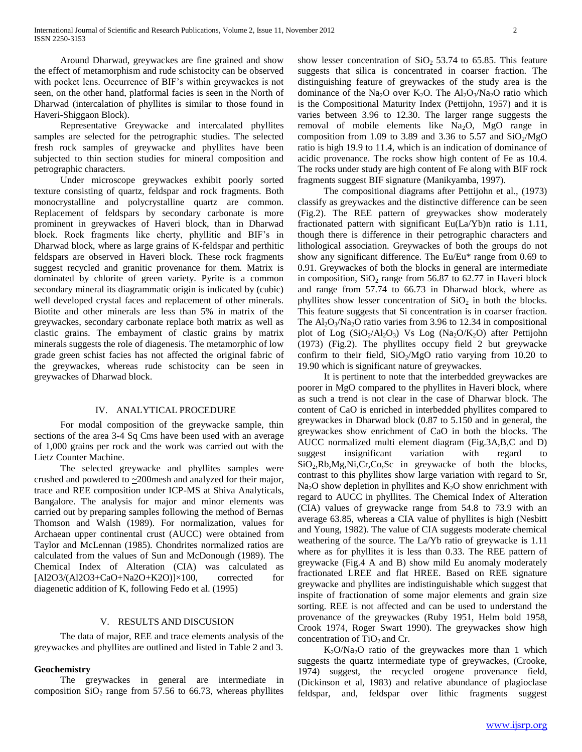Around Dharwad, greywackes are fine grained and show the effect of metamorphism and rude schistocity can be observed with pocket lens. Occurrence of BIF's within greywackes is not seen, on the other hand, platformal facies is seen in the North of Dharwad (intercalation of phyllites is similar to those found in Haveri-Shiggaon Block).

 Representative Greywacke and intercalated phyllites samples are selected for the petrographic studies. The selected fresh rock samples of greywacke and phyllites have been subjected to thin section studies for mineral composition and petrographic characters.

 Under microscope greywackes exhibit poorly sorted texture consisting of quartz, feldspar and rock fragments. Both monocrystalline and polycrystalline quartz are common. Replacement of feldspars by secondary carbonate is more prominent in greywackes of Haveri block, than in Dharwad block. Rock fragments like cherty, phyllitic and BIF's in Dharwad block, where as large grains of K-feldspar and perthitic feldspars are observed in Haveri block. These rock fragments suggest recycled and granitic provenance for them. Matrix is dominated by chlorite of green variety. Pyrite is a common secondary mineral its diagrammatic origin is indicated by (cubic) well developed crystal faces and replacement of other minerals. Biotite and other minerals are less than 5% in matrix of the greywackes, secondary carbonate replace both matrix as well as clastic grains. The embayment of clastic grains by matrix minerals suggests the role of diagenesis. The metamorphic of low grade green schist facies has not affected the original fabric of the greywackes, whereas rude schistocity can be seen in greywackes of Dharwad block.

### IV. ANALYTICAL PROCEDURE

 For modal composition of the greywacke sample, thin sections of the area 3-4 Sq Cms have been used with an average of 1,000 grains per rock and the work was carried out with the Lietz Counter Machine.

 The selected greywacke and phyllites samples were crushed and powdered to  $\approx$  200mesh and analyzed for their major, trace and REE composition under ICP-MS at Shiva Analyticals, Bangalore. The analysis for major and minor elements was carried out by preparing samples following the method of Bernas Thomson and Walsh (1989). For normalization, values for Archaean upper continental crust (AUCC) were obtained from Taylor and McLennan (1985). Chondrites normalized ratios are calculated from the values of Sun and McDonough (1989). The Chemical Index of Alteration (CIA) was calculated as [Al2O3/(Al2O3+CaO+Na2O+K2O)]×100, corrected for diagenetic addition of K, following Fedo et al. (1995)

## V. RESULTS AND DISCUSION

 The data of major, REE and trace elements analysis of the greywackes and phyllites are outlined and listed in Table 2 and 3.

#### **Geochemistry**

 The greywackes in general are intermediate in composition  $SiO<sub>2</sub>$  range from 57.56 to 66.73, whereas phyllites show lesser concentration of  $SiO<sub>2</sub> 53.74$  to 65.85. This feature suggests that silica is concentrated in coarser fraction. The distinguishing feature of greywackes of the study area is the dominance of the Na<sub>2</sub>O over K<sub>2</sub>O. The Al<sub>2</sub>O<sub>3</sub>/Na<sub>2</sub>O ratio which is the Compositional Maturity Index (Pettijohn, 1957) and it is varies between 3.96 to 12.30. The larger range suggests the removal of mobile elements like  $Na<sub>2</sub>O$ ,  $MgO$  range in composition from 1.09 to 3.89 and 3.36 to 5.57 and  $SiO_2/MgO$ ratio is high 19.9 to 11.4, which is an indication of dominance of acidic provenance. The rocks show high content of Fe as 10.4. The rocks under study are high content of Fe along with BIF rock fragments suggest BIF signature (Manikyamba, 1997).

 The compositional diagrams after Pettijohn et al., (1973) classify as greywackes and the distinctive difference can be seen (Fig.2). The REE pattern of greywackes show moderately fractionated pattern with significant Eu(La/Yb)n ratio is 1.11, though there is difference in their petrographic characters and lithological association. Greywackes of both the groups do not show any significant difference. The Eu/Eu\* range from 0.69 to 0.91. Greywackes of both the blocks in general are intermediate in composition,  $SiO<sub>2</sub>$  range from 56.87 to 62.77 in Haveri block and range from 57.74 to 66.73 in Dharwad block, where as phyllites show lesser concentration of  $SiO<sub>2</sub>$  in both the blocks. This feature suggests that Si concentration is in coarser fraction. The  $Al_2O_3/Na_2O$  ratio varies from 3.96 to 12.34 in compositional plot of Log  $(SiO_2/Al_2O_3)$  Vs Log  $(Na_2O/K_2O)$  after Pettijohn (1973) (Fig.2). The phyllites occupy field 2 but greywacke confirm to their field,  $SiO<sub>2</sub>/MgO$  ratio varying from 10.20 to 19.90 which is significant nature of greywackes.

 It is pertinent to note that the interbedded greywackes are poorer in MgO compared to the phyllites in Haveri block, where as such a trend is not clear in the case of Dharwar block. The content of CaO is enriched in interbedded phyllites compared to greywackes in Dharwad block (0.87 to 5.150 and in general, the greywackes show enrichment of CaO in both the blocks. The AUCC normalized multi element diagram (Fig.3A,B,C and D) suggest insignificant variation with regard to SiO2,Rb,Mg,Ni,Cr,Co,Sc in greywacke of both the blocks, contrast to this phyllites show large variation with regard to Sr,  $Na<sub>2</sub>O$  show depletion in phyllites and  $K<sub>2</sub>O$  show enrichment with regard to AUCC in phyllites. The Chemical Index of Alteration (CIA) values of greywacke range from 54.8 to 73.9 with an average 63.85, whereas a CIA value of phyllites is high (Nesbitt and Young, 1982). The value of CIA suggests moderate chemical weathering of the source. The La/Yb ratio of greywacke is 1.11 where as for phyllites it is less than 0.33. The REE pattern of greywacke (Fig.4 A and B) show mild Eu anomaly moderately fractionated LREE and flat HREE. Based on REE signature greywacke and phyllites are indistinguishable which suggest that inspite of fractionation of some major elements and grain size sorting. REE is not affected and can be used to understand the provenance of the greywackes (Ruby 1951, Helm bold 1958, Crook 1974, Roger Swart 1990). The greywackes show high concentration of  $TiO<sub>2</sub>$  and Cr.

 $K_2O/Na_2O$  ratio of the greywackes more than 1 which suggests the quartz intermediate type of greywackes, (Crooke, 1974) suggest, the recycled orogene provenance field, (Dickinson et al, 1983) and relative abundance of plagioclase feldspar, and, feldspar over lithic fragments suggest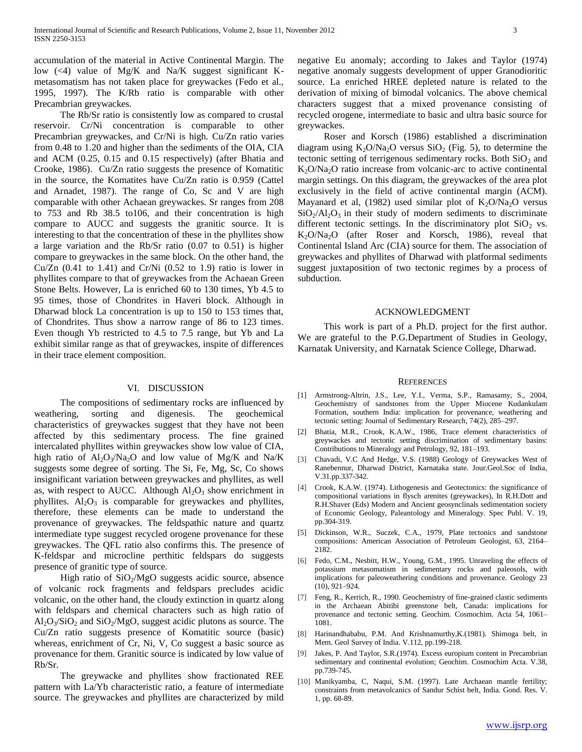accumulation of the material in Active Continental Margin. The low  $(\leq 4)$  value of Mg/K and Na/K suggest significant Kmetasomatism has not taken place for greywackes (Fedo et al., 1995, 1997). The K/Rb ratio is comparable with other Precambrian greywackes.

 The Rb/Sr ratio is consistently low as compared to crustal reservoir. Cr/Ni concentration is comparable to other Precambrian greywackes, and Cr/Ni is high. Cu/Zn ratio varies from 0.48 to 1.20 and higher than the sediments of the OIA, CIA and ACM (0.25, 0.15 and 0.15 respectively) (after Bhatia and Crooke, 1986). Cu/Zn ratio suggests the presence of Komatitic in the source, the Komatites have Cu/Zn ratio is 0.959 (Cattel and Arnadet, 1987). The range of Co, Sc and V are high comparable with other Achaean greywackes. Sr ranges from 208 to 753 and Rb 38.5 to106, and their concentration is high compare to AUCC and suggests the granitic source. It is interesting to that the concentration of these in the phyllites show a large variation and the Rb/Sr ratio (0.07 to 0.51) is higher compare to greywackes in the same block. On the other hand, the Cu/Zn  $(0.41$  to 1.41) and Cr/Ni  $(0.52$  to 1.9) ratio is lower in phyllites compare to that of greywackes from the Achaean Green Stone Belts. However, La is enriched 60 to 130 times, Yb 4.5 to 95 times, those of Chondrites in Haveri block. Although in Dharwad block La concentration is up to 150 to 153 times that, of Chondrites. Thus show a narrow range of 86 to 123 times. Even though Yb restricted to 4.5 to 7.5 range, but Yb and La exhibit similar range as that of greywackes, inspite of differences in their trace element composition.

#### VI. DISCUSSION

 The compositions of sedimentary rocks are influenced by weathering, sorting and digenesis. The geochemical characteristics of greywackes suggest that they have not been affected by this sedimentary process. The fine grained intercalated phyllites within greywackes show low value of CIA, high ratio of  $Al_2O_3/Na_2O$  and low value of Mg/K and Na/K suggests some degree of sorting. The Si, Fe, Mg, Sc, Co shows insignificant variation between greywackes and phyllites, as well as, with respect to AUCC. Although  $Al_2O_3$  show enrichment in phyllites.  $Al_2O_3$  is comparable for greywackes and phyllites, therefore, these elements can be made to understand the provenance of greywackes. The feldspathic nature and quartz intermediate type suggest recycled orogene provenance for these greywackes. The QFL ratio also confirms this. The presence of K-feldspar and microcline perthitic feldspars do suggests presence of granitic type of source.

High ratio of  $SiO<sub>2</sub>/MgO$  suggests acidic source, absence of volcanic rock fragments and feldspars precludes acidic volcanic, on the other hand, the cloudy extinction in quartz along with feldspars and chemical characters such as high ratio of  $Al_2O_3/SiO_2$  and  $SiO_2/MgO$ , suggest acidic plutons as source. The Cu/Zn ratio suggests presence of Komatitic source (basic) whereas, enrichment of Cr, Ni, V, Co suggest a basic source as provenance for them. Granitic source is indicated by low value of Rb/Sr.

 The greywacke and phyllites show fractionated REE pattern with La/Yb characteristic ratio, a feature of intermediate source. The greywackes and phyllites are characterized by mild negative Eu anomaly; according to Jakes and Taylor (1974) negative anomaly suggests development of upper Granodioritic source. La enriched HREE depleted nature is related to the derivation of mixing of bimodal volcanics. The above chemical characters suggest that a mixed provenance consisting of recycled orogene, intermediate to basic and ultra basic source for greywackes.

 Roser and Korsch (1986) established a discrimination diagram using  $K_2O/Na_2O$  versus  $SiO_2$  (Fig. 5), to determine the tectonic setting of terrigenous sedimentary rocks. Both  $SiO<sub>2</sub>$  and  $K<sub>2</sub>O/Na<sub>2</sub>O$  ratio increase from volcanic-arc to active continental margin settings. On this diagram, the greywackes of the area plot exclusively in the field of active continental margin (ACM). Mayanard et al, (1982) used similar plot of  $K_2O/Na_2O$  versus  $SiO<sub>2</sub>/Al<sub>2</sub>O<sub>3</sub>$  in their study of modern sediments to discriminate different tectonic settings. In the discriminatory plot  $SiO<sub>2</sub>$  vs. K2O/Na2O (after Roser and Korsch, 1986), reveal that Continental Island Arc (CIA) source for them. The association of greywackes and phyllites of Dharwad with platformal sediments suggest juxtaposition of two tectonic regimes by a process of subduction.

#### ACKNOWLEDGMENT

 This work is part of a Ph.D. project for the first author. We are grateful to the P.G.Department of Studies in Geology, Karnatak University, and Karnatak Science College, Dharwad.

#### **REFERENCES**

- [1] Armstrong-Altrin, J.S., Lee, Y.I., Verma, S.P., Ramasamy, S., 2004, Geochemistry of sandstones from the Upper Miocene Kudankulam Formation, southern India: implication for provenance, weathering and tectonic setting: Journal of Sedimentary Research, 74(2), 285–297.
- [2] Bhatia, M.R., Crook, K.A.W., 1986, Trace element characteristics of greywackes and tectonic setting discrimination of sedimentary basins: Contributions to Mineralogy and Petrology, 92, 181–193.
- [3] Chavadi, V.C And Hedge, V.S. (1988) Geology of Greywackes West of Ranebennur, Dharwad District, Karnataka state. Jour.Geol.Soc of India, V.31.pp.337-342.
- [4] Crook, K.A.W. (1974). Lithogenesis and Geotectonics: the significance of compositional variations in flysch arenites (greywackes), In R.H.Dott and R.H.Shaver (Eds) Modern and Ancient geosynclinals sedimentation society of Economic Geology, Paleantology and Mineralogy. Spec Publ. V. 19, pp.304-319.
- [5] Dickinson, W.R., Suczek, C.A., 1979, Plate tectonics and sandstone compositions: American Association of Petroleum Geologist, 63, 2164– 2182.
- [6] Fedo, C.M., Nesbitt, H.W., Young, G.M., 1995. Unraveling the effects of potassium metasomatism in sedimentary rocks and paleosols, with implications for paleoweathering conditions and provenance. Geology 23 (10), 921–924.
- [7] Feng, R., Kerrich, R., 1990. Geochemistry of fine-grained clastic sediments in the Archaean Abitibi greenstone belt, Canada: implications for provenance and tectonic setting. Geochim. Cosmochim. Acta 54, 1061– 1081.
- [8] Harinandhababu, P.M. And Krishnamurthy, K. (1981). Shimoga belt, in Mem. Geol Survey of India. V.112, pp.199-218.
- [9] Jakes, P. And Taylor, S.R.(1974). Excess europium content in Precambrian sedimentary and continental evolution; Geochim. Cosmochim Acta. V.38, pp.739-745.
- [10] Manikyamba, C, Naqui, S.M. (1997). Late Archaean mantle fertility; constraints from metavolcanics of Sandur Schist belt, India. Gond. Res. V. 1, pp. 68-89.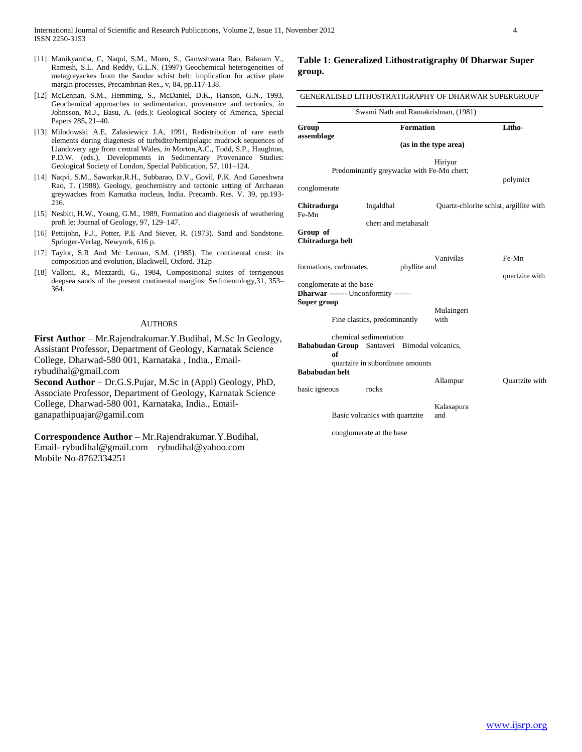- [11] Manikyamba, C, Naqui, S.M., Moen, S., Ganwshwara Rao, Balaram V., Ramesh, S.L. And Reddy, G.L.N. (1997) Geochemical heterogeneities of metagreyackes from the Sandur schist belt: implication for active plate margin processes, Precambrian Res., v, 84, pp.117-138.
- [12] McLennan, S.M., Hemming, S., McDaniel, D.K., Hanson, G.N., 1993, Geochemical approaches to sedimentation, provenance and tectonics, *in*  Johnsson, M.J., Basu, A. (eds.): Geological Society of America, Special Papers 285**,** 21–40.
- [13] Milodowski A.E, Zalasiewicz J.A, 1991, Redistribution of rare earth elements during diagenesis of turbidite/hemipelagic mudrock sequences of Llandovery age from central Wales, *in* Morton,A.C., Todd, S.P., Haughton, P.D.W. (eds.), Developments in Sedimentary Provenance Studies: Geological Society of London, Special Publication, 57, 101–124.
- [14] Naqvi, S.M., Sawarkar,R.H., Subbarao, D.V., Govil, P.K. And Ganeshwra Rao, T. (1988). Geology, geochemistry and tectonic setting of Archaean greywackes from Karnatka nucleus, India. Precamb. Res. V. 39, pp.193- 216.
- [15] Nesbitt, H.W., Young, G.M., 1989, Formation and diagenesis of weathering profi le: Journal of Geology*,* 97, 129–147.
- [16] Pettijohn, F.J., Potter, P.E. And Siever, R. (1973). Sand and Sandstone. Springer-Verlag, Newyork, 616 p.
- [17] Taylor, S.R And Mc Lennan, S.M. (1985). The continental crust: its composition and evolution, Blackwell, Oxford. 312p
- [18] Valloni, R., Mezzardi, G., 1984, Compositional suites of terrigenous deepsea sands of the present continental margins: Sedimentology,31, 353– 364.

#### AUTHORS

**First Author** – Mr.Rajendrakumar.Y.Budihal, M.Sc In Geology, Assistant Professor, Department of Geology, Karnatak Science College, Dharwad-580 001, Karnataka , India., Emailrybudihal@gmail.com

**Second Author** – Dr.G.S.Pujar, M.Sc in (Appl) Geology, PhD, Associate Professor, Department of Geology, Karnatak Science College, Dharwad-580 001, Karnataka, India., Emailganapathipuajar@gamil.com

**Correspondence Author** – Mr.Rajendrakumar.Y.Budihal, Email- rybudihal@gmail.com rybudihal@yahoo.com Mobile No-8762334251

**Table 1: Generalized Lithostratigraphy 0f Dharwar Super group.**

|                                         | Swami Nath and Ramakrishnan, (1981)                                    |                                        |                         |  |  |  |
|-----------------------------------------|------------------------------------------------------------------------|----------------------------------------|-------------------------|--|--|--|
| Group                                   | <b>Formation</b>                                                       |                                        | Litho-                  |  |  |  |
| assemblage                              |                                                                        | (as in the type area)                  |                         |  |  |  |
|                                         | Predominantly greywacke with Fe-Mn chert;                              | Hiriyur                                | polymict                |  |  |  |
| conglomerate                            |                                                                        |                                        |                         |  |  |  |
| Chitradurga<br>Fe-Mn                    | Ingaldhal                                                              | Quartz-chlorite schist, argillite with |                         |  |  |  |
| Group of<br>Chitradurga belt            | chert and metabasalt                                                   |                                        |                         |  |  |  |
| formations, carbonates,                 | phyllite and                                                           | Vanivilas                              | Fe-Mn<br>quartzite with |  |  |  |
| conglomerate at the base<br>Super group | Dharwar ------- Unconformity -------                                   |                                        |                         |  |  |  |
|                                         | Fine clastics, predominantly                                           | Mulaingeri<br>with                     |                         |  |  |  |
| of                                      | chemical sedimentation<br>Bababudan Group Santaveri Bimodal volcanics, |                                        |                         |  |  |  |
| <b>Bababudan</b> helt<br>basic igneous  | quartzite in subordinate amounts<br>rocks                              | Allampur                               | Quartzite with          |  |  |  |
|                                         | Basic volcanics with quartzite                                         | Kalasapura<br>and                      |                         |  |  |  |

conglomerate at the base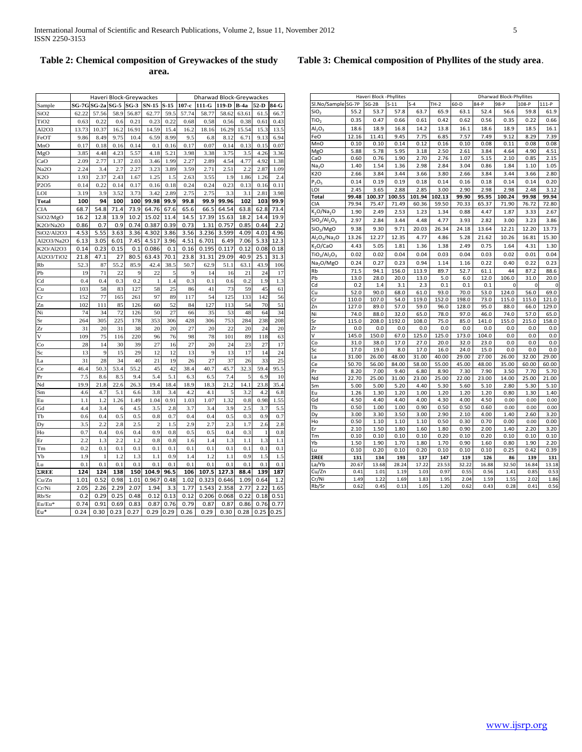| Haveri Block -Phyllites            |                |                |                |                |                |                | <b>Dharwad Block-Phyllites</b> |                |                |                |  |  |  |  |
|------------------------------------|----------------|----------------|----------------|----------------|----------------|----------------|--------------------------------|----------------|----------------|----------------|--|--|--|--|
| Sl.No/Sample SG-7P                 |                | $SG-2B$        | $S-11$         | $S-4$          | $TH-2$         | $60 - D$       | $84-P$                         | 98-P           | 108-P          | $111-P$        |  |  |  |  |
| SiO <sub>2</sub>                   | 55.2           | 53.7           | 57.8           | 63.7           | 65.9           | 63.1           | 52.4                           | 56.6           | 59.8           | 61.9           |  |  |  |  |
| TiO <sub>2</sub>                   | 0.35           | 0.47           | 0.66           | 0.61           | 0.42           | 0.62           | 0.56                           | 0.35           | 0.22           | 0.66           |  |  |  |  |
| $Al_2O_3$                          | 18.6           | 18.9           | 16.8           | 14.2           | 13.8           | 16.1           | 18.6                           | 18.9           | 18.5           | 16.1           |  |  |  |  |
| FeO                                | 12.16          | 11.41          | 9.45           | 7.75           | 6.85           | 7.57           | 7.49                           | 9.12           | 8.29           | 7.39           |  |  |  |  |
| MnO                                | 0.10           | 0.10           | 0.14           | 0.12           | 0.16           | 0.10           | 0.08                           | 0.11           | 0.08           | 0.08           |  |  |  |  |
| MgO                                | 5.88           | 5.78           | 5.95           | 3.18           | 2.50           | 2.61           | 3.84                           | 4.64           | 4.90           | 4.51           |  |  |  |  |
| CaO                                | 0.60           | 0.76           | 1.90           | 2.70           | 2.76           | 1.07           | 5.15                           | 2.10           | 0.85           | 2.15           |  |  |  |  |
| Na <sub>2</sub> O                  | 1.40           | 1.54           | 1.36           | 2.98           | 2.84           | 3.04           | 0.86                           | 1.84           | 1.10           | 1.05           |  |  |  |  |
| K <sub>2</sub> O                   | 2.66           | 3.84           | 3.44           | 3.66           | 3.80           | 2.66           | 3.84                           | 3.44           | 3.66           | 2.80           |  |  |  |  |
| $P_2O_5$                           | 0.14           | 0.19           | 0.19           | 0.18           | 0.14           | 0.16           | 0.18                           | 0.14           | 0.14           | 0.20           |  |  |  |  |
| LOI                                | 2.45           | 3.65           | 2.88           | 2.85           | 3.00           | 2.90           | 2.98                           | 2.98           | 2.48           | 3.12           |  |  |  |  |
| <b>Total</b>                       | 99.48          | 100.37         | 100.55         | 101.94         | 102.13         | 99.90          | 95.95                          | 100.24         | 99.98          | 99.94          |  |  |  |  |
| CIA                                | 79.94          | 75.47          | 71.49          | 60.36          | 59.50          | 70.33          | 65.37                          | 71.90          | 76.72          | 72.80          |  |  |  |  |
| K <sub>2</sub> O/Na <sub>2</sub> O | 1.90           | 2.49           | 2.53           | 1.23           | 1.34           | 0.88           | 4.47                           | 1.87           | 3.33           | 2.67           |  |  |  |  |
| $SiO2/Al2O3$                       | 2.97           | 2.84           | 3.44           | 4.48           | 4.77           | 3.93           | 2.82                           | 3.00           | 3.23           | 3.86           |  |  |  |  |
| SiO <sub>2</sub> /MgO              | 9.38           | 9.30           | 9.71           | 20.03          | 26.34          | 24.18          | 13.64                          | 12.21          | 12.20          | 13.73          |  |  |  |  |
| $Al_2O_3/Na_2O$                    | 13.26          | 12.27          | 12.35          | 4.77           | 4.86           | 5.28           | 21.62                          | 10.26          | 16.81          | 15.30          |  |  |  |  |
| K <sub>2</sub> O/CaO               | 4.43           | 5.05           | 1.81           | 1.36           | 1.38           | 2.49           | 0.75                           | 1.64           | 4.31           | 1.30           |  |  |  |  |
| $TiO2/Al2O3$                       | 0.02           | 0.02           | 0.04           | 0.04           | 0.03           | 0.04           | 0.03                           | 0.02           | 0.01           | 0.04           |  |  |  |  |
| Na <sub>2</sub> O/MgO              | 0.24           | 0.27           | 0.23           | 0.94           | 1.14           | 1.16           | 0.22                           | 0.40           | 0.22           | 0.23           |  |  |  |  |
| Rb                                 | 71.5           | 94.1           | 156.0          | 113.9          | 89.7           | 52.7           | 61.1                           | 44             | 87.2           | 88.6           |  |  |  |  |
| Pb                                 | 13.0           | 28.0           | 20.0           | 13.0           | 5.0            | 6.0            | 12.0                           | 106.0          | 31.0           | 20.0           |  |  |  |  |
| Cd                                 | 0.2            | 1.4            | 3.1            | 2.3            | 0.1            | 0.1            | 0.1                            |                |                |                |  |  |  |  |
| Cu                                 | 52.0           | 90.0           | 68.0           | 61.0           | 93.0           | 70.0           | 53.0                           | 124.0          | 56.0           | 69.0           |  |  |  |  |
| Cr                                 | 110.0          | 107.0          | 54.0           | 119.0          | 152.0          | 198.0          | 73.0                           | 115.0          | 115.0          | 121.0          |  |  |  |  |
| Zn                                 | 127.0          | 89.0           | 57.0           | 59.0           | 96.0           | 128.0          | 95.0                           | 88.0           | 66.0           | 129.0          |  |  |  |  |
| Ni                                 | 74.0           | 88.0           | 32.0           | 65.0           | 78.0           | 97.0           | 46.0                           | 74.0           | 57.0           | 65.0           |  |  |  |  |
| Sr                                 | 115.0          | 208.0          | 1192.0         | 108.0          | 75.0           | 85.0           | 141.0                          | 155.0          | 215.0          | 158.0          |  |  |  |  |
| Zr                                 | 0.0            | 0.0            | 0.0            | 0.0            | 0.0            | 0.0            | 0.0                            | 0.0            | 0.0            | 0.0            |  |  |  |  |
| V                                  | 145.0          | 150.0          | 67.0           | 125.0          | 125.0          | 173.0          | 104.0                          | 0.0            | 0.0            | 0.0            |  |  |  |  |
| Co                                 | 31.0           | 38.0           | 17.0           | 27.0           | 20.0           | 32.0           | 23.0                           | 0.0            | 0.0            | 0.0            |  |  |  |  |
| Sc                                 | 17.0           | 19.0           | 8.0            | 17.0           | 16.0           | 24.0           | 15.0                           | 0.0            | 0.0            | 0.0            |  |  |  |  |
| La<br>Сe                           | 31.00<br>50.70 | 26.00<br>56.00 | 48.00<br>84.00 | 31.00<br>58.00 | 40.00<br>55.00 | 29.00<br>45.00 | 27.00<br>48.00                 | 26.00<br>35.00 | 32.00<br>60.00 | 29.00<br>60.00 |  |  |  |  |
| Pr                                 | 8.20           | 7.00           | 9.40           | 6.80           | 8.90           | 7.30           | 7.90                           | 3.50           | 7.70           | 5.70           |  |  |  |  |
| Nd                                 | 22.70          | 25.00          | 31.00          | 23.00          | 25.00          | 22.00          | 23.00                          | 14.00          | 25.00          | 21.00          |  |  |  |  |
| Sm                                 | 5.00           | 5.00           | 5.20           | 4.40           | 5.30           | 5.60           | 5.10                           | 2.80           | 5.30           | 5.10           |  |  |  |  |
| Eu                                 | 1.26           | 1.30           | 1.20           | 1.00           | 1.20           | 1.20           | 1.20                           | 0.80           | 1.30           | 1.40           |  |  |  |  |
| Gd                                 | 4.50           | 4.40           | 4.40           | 4.00           | 4.30           | 4.00           | 4.50                           | 0.00           | 0.00           | 0.00           |  |  |  |  |
| Tb                                 | 0.50           | 1.00           | 1.00           | 0.90           | 0.50           | 0.50           | 0.60                           | 0.00           | 0.00           | 0.00           |  |  |  |  |
| Dy                                 | 3.00           | 3.30           | 3.50           | 3.00           | 2.90           | 2.10           | 4.00                           | 1.40           | 2.60           | 3.20           |  |  |  |  |
| Ho                                 | 0.50           | 1.10           | 1.10           | 1.10           | 0.50           | 0.30           | 0.70                           | 0.00           | 0.00           | 0.00           |  |  |  |  |
| Er                                 | 2.10           | 1.50           | 1.80           | 1.60           | 1.80           | 0.90           | 2.00                           | 1.40           | 2.20           | 3.20           |  |  |  |  |
| Тm                                 | 0.10           | 0.10           | 0.10           | 0.10           | 0.20           | 0.10           | 0.20                           | 0.10           | 0.10           | 0.10           |  |  |  |  |
| Yb                                 | 1.50           | 1.90           | 1.70           | 1.80           | 1.70           | 0.90           | 1.60                           | 0.80           | 1.90           | 2.20           |  |  |  |  |
| Lu                                 | 0.10           | 0.20           | 0.10           | 0.20           | 0.10           | 0.10           | 0.10                           | 0.25           | 0.42           | 0.39           |  |  |  |  |

**ΣREE 131 134 193 137 147 119 126 86 139 131** La/Yb 20.67 13.68 28.24 17.22 23.53 32.22 16.88 32.50 16.84 13.18  $Cu/Zn$  | 0.41 1.01 1.19 1.03 0.97 0.55 0.56 1.41 0.85 0.53 Cr/Ni 1.49 1.22 1.69 1.83 1.95 2.04 1.59 1.55 2.02 1.86 Rb/Sr 0.62 0.45 0.13 1.05 1.20 0.62 0.43 0.28 0.41 0.56

|                   |       | Haveri Block-Greywackes |        |        |                 |        |         | <b>Dharwad Block-Greywackes</b> |       |                 |                  |      |
|-------------------|-------|-------------------------|--------|--------|-----------------|--------|---------|---------------------------------|-------|-----------------|------------------|------|
| Sample            | SG-7G | $SG-2a$                 | $SG-5$ | $SG-3$ | $SN-15$         | $S-15$ | $107-c$ | $111-G$                         | 119-D | $B-4a$          | 52-D             | 84-G |
| SiO2              | 62.22 | 57.56                   | 58.9   | 56.87  | 62.77           | 59.5   | 57.74   | 58.77                           | 58.62 | 63.61           | 61.5             | 66.7 |
| TiO <sub>2</sub>  | 0.63  | 0.22                    | 0.6    | 0.21   | 0.23            | 0.22   | 0.68    | 0.58                            | 0.56  | 0.38            | 0.61             | 0.43 |
| A12O3             | 13.73 | 10.37                   | 16.2   | 16.91  | 14.59           | 15.4   | 16.2    | 18.16                           | 16.29 | 15.54           | 15.3             | 13.5 |
| FeOT              | 9.86  | 8.49                    | 9.75   | 10.4   | 6.59            | 8.99   | 9.5     | 6.8                             | 8.12  | 6.71            | 9.13             | 6.94 |
| MnO               | 0.17  | 0.18                    | 0.16   | 0.14   | 0.1             | 0.16   | 0.17    | 0.07                            | 0.14  | 0.13            | 0.15             | 0.07 |
| MgO               | 3.85  | 4.48                    | 4.23   | 5.57   | 4.18            | 5.21   | 3.98    | 3.38                            | 3.75  | 3.5             | 4.26             | 3.36 |
| CaO               | 2.09  | 2.77                    | 1.37   | 2.03   | 3.46            | 1.99   | 2.27    | 2.89                            | 4.54  | 4.77            | 4.92             | 1.38 |
| Na <sub>2</sub> O | 2.24  | 3.4                     | 2.7    | 2.27   | 3.23            | 3.89   | 3.59    | 2.71                            | 2.51  | 2.2             | 2.87             | 1.09 |
| K <sub>2</sub> O  | 1.93  | 2.37                    | 2.43   | 1.67   | 1.25            | 1.5    | 2.63    | 3.55                            | 1.9   | 1.86            | 1.26             | 2.4  |
| P2O5              | 0.14  | 0.22                    | 0.14   | 0.17   | 0.16            | 0.18   | 0.24    | 0.24                            | 0.23  | 0.13            | 0.16             | 0.11 |
| LOI               | 3.19  | 3.9                     | 3.52   | 3.73   | 3.42            | 2.89   | 2.75    | 2.75                            | 3.3   | 3.1             | 2.81             | 3.98 |
| Total             | 100   | 94                      | 100    | 100    | 99.98           | 99.9   | 99.8    | 99.9                            | 99.96 | 102             | 103              | 99.9 |
| <b>CIA</b>        | 68.7  | 54.8                    | 71.4   | 73.9   | 64.76           | 67.6   | 65.6    | 66.5                            | 64.54 | 63.8            | 62.8             | 73.4 |
| SiO2/MgO          | 16.2  | 12.8                    | 13.9   | 10.2   | 15.02           | 11.4   | 14.5    | 17.39                           | 15.63 | 18.2            | 14.4             | 19.9 |
| K2O/Na2O          | 0.86  | 0.7                     | 0.9    | 0.74   | 0.387           | 0.39   | 0.73    | 1.31                            | 0.757 | 0.85            | 0.44             | 2.2  |
| SiO2/Al2O3        | 4.53  | 5.55                    | 3.63   | 3.36   | 4.302           | 3.86   | 3.56    | 3.236                           | 3.599 | 4.09            | 4.01             | 4.96 |
| Al2O3/Na2O        | 6.13  | 3.05                    | 6.01   | 7.45   | 4.517           | 3.96   | 4.51    | 6.701                           | 6.49  | 7.06            | 5.33             | 12.3 |
| K2O/Al2O3         | 0.14  | 0.23                    | 0.15   | 0.1    | 0.086           | 0.1    | 0.16    | 0.195                           | 0.117 | 0.12            | 0.08             | 0.18 |
| Al2O3/TiO2        | 21.8  | 47.1                    | 27     | 80.5   | 63.43           | 70.1   | 23.8    | 31.31                           | 29.09 | 40.9            | 25.1             | 31.3 |
| Rb                | 52.3  | 87                      | 55.2   | 85.9   | 42.4            | 38.5   | 50.7    | 62.9                            | 51.1  | 63.1            | 43.9             | 106  |
| Pb                | 19    | 71                      | 22     | 9      | 22              | 5      | 9       | 14                              | 16    | $\overline{21}$ | 24               | 17   |
| Cd                | 0.4   | 0.4                     | 0.3    | 0.2    | $\mathbf{1}$    | 1.4    | 0.3     | 0.1                             | 0.6   | 0.2             | 1.9              | 1.3  |
| Cu                | 103   | 58                      | 83     | 127    | 58              | 25     | 86      | 41                              | 73    | 59              | 45               | 61   |
| Cr                | 152   | 77                      | 165    | 261    | 97              | 89     | 117     | 54                              | 125   | 133             | 142              | 56   |
| Zn                | 102   | 111                     | 85     | 126    | 60              | 52     | 84      | 127                             | 113   | 54              | 70               | 51   |
| Ni                | 74    | 34                      | 72     | 126    | 50              | 27     | 66      | 35                              | 53    | 48              | 64               | 34   |
| $S_{\rm r}$       | 264   | 305                     | 225    | 178    | 353             | 306    | 428     | 306                             | 753   | 284             | 238              | 208  |
| Zr                | 31    | 20                      | 31     | 38     | 20              | 20     | 27      | 20                              | 22    | $20^{\circ}$    | 24               | 20   |
| V                 | 109   | 75                      | 116    | 220    | 96              | 76     | 98      | 78                              | 101   | 89              | 118              | 63   |
| Co                | 28    | 14                      | 30     | 39     | 27              | 16     | 27      | 20                              | 24    | 23              | 27               | 17   |
| Sc                | 13    | 9                       | 15     | 29     | 12              | 12     | 13      | 9                               | 13    | 17              | 14               | 24   |
| La                | 31    | 28                      | 34     | 40     | $\overline{21}$ | 19     | 26      | 27                              | 37    | 26              | 33               | 25   |
| Ce                | 46.4  | 50.3                    | 53.4   | 55.2   | 45              | 42     | 38.4    | 40.7                            | 45.7  | 32.3            | 59.4             | 95.5 |
| Pr                | 7.5   | 8.6                     | 8.5    | 9.4    | 5.4             | 5.1    | 6.3     | 6.5                             | 7.4   | 5               | 6.9              | 10   |
| Nd                | 19.9  | 21.8                    | 22.6   | 26.3   | 19.4            | 18.4   | 18.9    | 18.3                            | 21.2  | 14.1            | 23.8             | 35.4 |
| Sm                | 4.6   | 4.7                     | 5.1    | 6.6    | 3.8             | 3.4    | 4.2     | 4.1                             | 5     | 3.2             | 4.2              | 6.8  |
| Eu                | 1.1   | 1.2                     | 1.26   | 1.49   | 1.04            | 0.91   | 1.03    | 1.07                            | 1.32  | 0.8             | 0.98             | 1.55 |
| Gd                | 4.4   | 3.4                     | 6      | 4.5    | 3.5             | 2.8    | 3.7     | 3.4                             | 3.9   | 2.5             | 3.7              | 5.5  |
| Tb                | 0.6   | 0.4                     | 0.5    | 0.5    | 0.8             | 0.7    | 0.4     | 0.4                             | 0.5   | 0.3             | 0.9              | 0.7  |
| Dy                | 3.5   | 2.2                     | 2.8    | 2.5    | $\overline{c}$  | 1.5    | 2.9     | 2.7                             | 2.3   | 1.7             | 2.6              | 2.8  |
| Ho                | 0.7   | 0.4                     | 0.6    | 0.4    | 0.9             | 0.8    | 0.5     | 0.5                             | 0.4   | 0.3             | $\mathbf{1}$     | 0.8  |
| Er                | 2.2   | 1.3                     | 2.2    | 1.2    | 0.8             | 0.8    | 1.6     | 1.4                             | 1.3   | 1.1             | $1.\overline{3}$ | 1.1  |
| Tm                | 0.2   | 0.1                     | 0.1    | 0.1    | 0.1             | 0.1    | 0.1     | 0.1                             | 0.1   | 0.1             | 0.1              | 0.1  |
| Yb                | 1.9   | 1                       | 1.2    | 1.3    | 1.1             | 0.9    | 1.4     | 1.2                             | 1.1   | 0.9             | 1.5              | 1.5  |
| Lu                | 0.1   | 0.1                     | 0.1    | 0.1    | 0.1             | 0.1    | 0.1     | 0.1                             | 0.1   | 0.1             | 0.1              | 0.1  |
| ΣREE              | 124   | 124                     | 138    | 150    | 104.9           | 96.5   | 106     | 107.5                           | 127.3 | 88.4            | 139              | 187  |
| Cu/Zn             | 1.01  | 0.52                    | 0.98   | 1.01   | 0.967           | 0.48   | 1.02    | 0.323                           | 0.646 | 1.09            | 0.64             | 1.2  |
| Cr/Ni             | 2.05  | 2.26                    | 2.29   | 2.07   | 1.94            | 3.3    | 1.77    | 1.543                           | 2.358 | 2.77            | 2.22             | 1.65 |
| Rb/Sr             | 0.2   | 0.29                    | 0.25   | 0.48   | 0.12            | 0.13   | 0.12    | 0.206                           | 0.068 | 0.22            | 0.18             | 0.51 |
| Eu/Eu*            | 0.74  | 0.91                    | 0.69   | 0.83   | 0.87            | 0.76   | 0.79    | 0.87                            | 0.87  | 0.86            | 0.76             | 0.77 |
| Eu*               | 0.24  | 0.30                    | 0.23   | 0.27   | 0.29            | 0.29   | 0.26    | 0.29                            | 0.30  | 0.28            | 0.25             | 0.25 |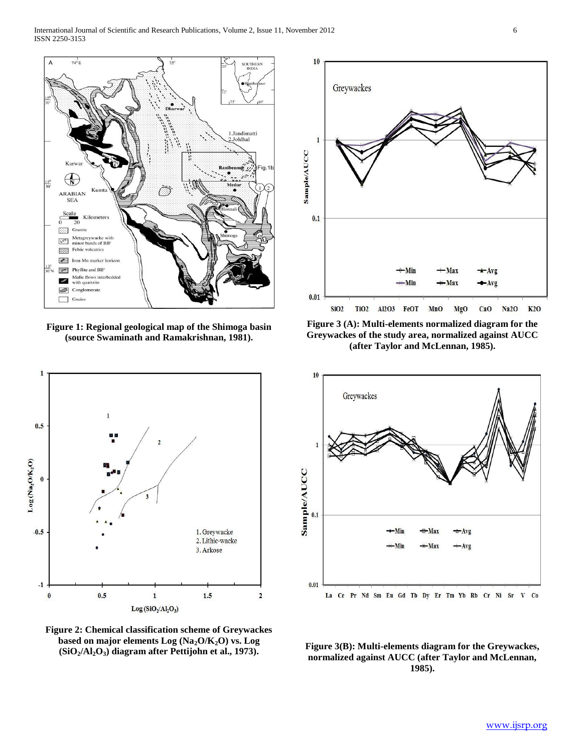

**Figure 1: Regional geological map of the Shimoga basin (source Swaminath and Ramakrishnan, 1981).**



**Figure 2: Chemical classification scheme of Greywackes based on major elements Log (Na2O/K2O) vs. Log (SiO2/Al2O3) diagram after Pettijohn et al., 1973).**



**Figure 3 (A): Multi-elements normalized diagram for the Greywackes of the study area, normalized against AUCC (after Taylor and McLennan, 1985).**



**Figure 3(B): Multi-elements diagram for the Greywackes, normalized against AUCC (after Taylor and McLennan, 1985).**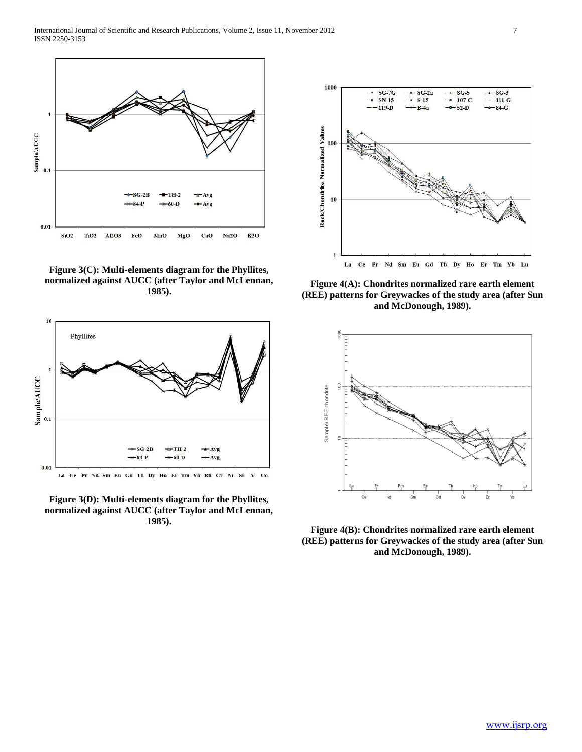

**Figure 3(C): Multi-elements diagram for the Phyllites, normalized against AUCC (after Taylor and McLennan, 1985).**



**Figure 3(D): Multi-elements diagram for the Phyllites, normalized against AUCC (after Taylor and McLennan, 1985).**



**Figure 4(A): Chondrites normalized rare earth element (REE) patterns for Greywackes of the study area (after Sun and McDonough, 1989).**



**Figure 4(B): Chondrites normalized rare earth element (REE) patterns for Greywackes of the study area (after Sun and McDonough, 1989).**